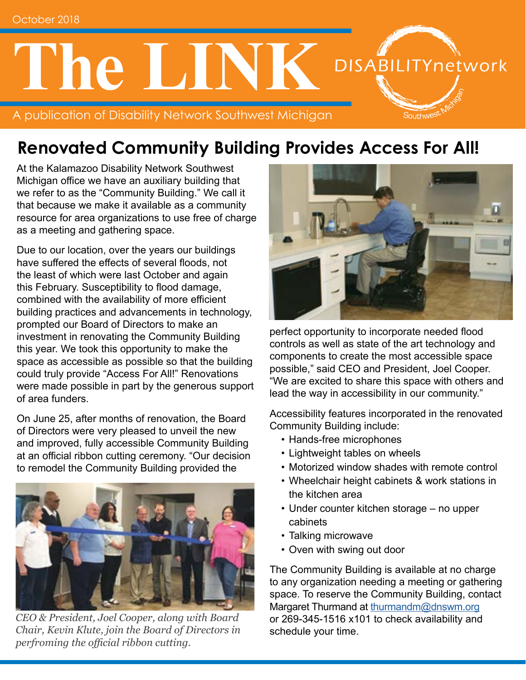# **The LINK** DISABILITYnetwork

A publication of Disability Network Southwest Michigan

#### **Renovated Community Building Provides Access For All!**

At the Kalamazoo Disability Network Southwest Michigan office we have an auxiliary building that we refer to as the "Community Building." We call it that because we make it available as a community resource for area organizations to use free of charge as a meeting and gathering space.

Due to our location, over the years our buildings have suffered the effects of several floods, not the least of which were last October and again this February. Susceptibility to flood damage, combined with the availability of more efficient building practices and advancements in technology, prompted our Board of Directors to make an investment in renovating the Community Building this year. We took this opportunity to make the space as accessible as possible so that the building could truly provide "Access For All!" Renovations were made possible in part by the generous support of area funders.

On June 25, after months of renovation, the Board of Directors were very pleased to unveil the new and improved, fully accessible Community Building at an official ribbon cutting ceremony. "Our decision to remodel the Community Building provided the



*CEO & President, Joel Cooper, along with Board Chair, Kevin Klute, join the Board of Directors in perfroming the official ribbon cutting.* 



outhwe<sup>s</sup>

perfect opportunity to incorporate needed flood controls as well as state of the art technology and components to create the most accessible space possible," said CEO and President, Joel Cooper. "We are excited to share this space with others and lead the way in accessibility in our community."

Accessibility features incorporated in the renovated Community Building include:

- Hands-free microphones
- Lightweight tables on wheels
- Motorized window shades with remote control
- Wheelchair height cabinets & work stations in the kitchen area
- Under counter kitchen storage no upper cabinets
- Talking microwave
- Oven with swing out door

The Community Building is available at no charge to any organization needing a meeting or gathering space. To reserve the Community Building, contact Margaret Thurmand at [thurmandm@dnswm.org](mailto:thurmandm%40dnswm.org?subject=Community%20Building) or 269-345-1516 x101 to check availability and schedule your time.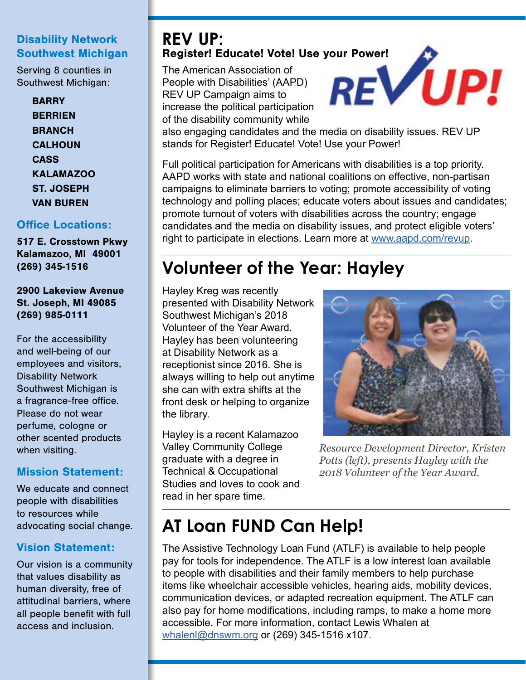#### Disability Network Southwest Michigan

Serving 8 counties in Southwest Michigan:

> **BARRY BERRIEN BRANCH CALHOUN CASS** KALAMAZOO ST. JOSEPH VAN BUREN

#### Office Locations:

517 E. Crosstown Pkwy Kalamazoo, MI 49001 (269) 345-1516

2900 Lakeview Avenue St. Joseph, MI 49085 (269) 985-0111

For the accessibility and well-being of our employees and visitors, Disability Network Southwest Michigan is a fragrance-free office. Please do not wear perfume, cologne or other scented products when visiting.

#### Mission Statement:

We educate and connect people with disabilities to resources while advocating social change.

#### Vision Statement:

Our vision is a community that values disability as human diversity, free of attitudinal barriers, where all people benefit with full access and inclusion.

## **REV UP:**

The American Association of People with Disabilities' (AAPD) REV UP Campaign aims to increase the political participation of the disability community while



also engaging candidates and the media on disability issues. REV UP stands for Register! Educate! Vote! Use your Power!

Full political participation for Americans with disabilities is a top priority. AAPD works with state and national coalitions on effective, non-partisan campaigns to eliminate barriers to voting; promote accessibility of voting technology and polling places; educate voters about issues and candidates; promote turnout of voters with disabilities across the country; engage candidates and the media on disability issues, and protect eligible voters' right to participate in elections. Learn more at [www.aapd.com/revup](https://www.aapd.com/advocacy/voting/).

#### **Volunteer of the Year: Hayley**

Hayley Kreg was recently presented with Disability Network Southwest Michigan's 2018 Volunteer of the Year Award. Hayley has been volunteering at Disability Network as a receptionist since 2016. She is always willing to help out anytime she can with extra shifts at the front desk or helping to organize the library.

Hayley is a recent Kalamazoo Valley Community College graduate with a degree in Technical & Occupational Studies and loves to cook and read in her spare time.



*Resource Development Director, Kristen Potts (left), presents Hayley with the 2018 Volunteer of the Year Award.*

#### **AT Loan FUND Can Help!**

The Assistive Technology Loan Fund (ATLF) is available to help people pay for tools for independence. The ATLF is a low interest loan available to people with disabilities and their family members to help purchase items like wheelchair accessible vehicles, hearing aids, mobility devices, communication devices, or adapted recreation equipment. The ATLF can also pay for home modifications, including ramps, to make a home more accessible. For more information, contact Lewis Whalen at [whalenl@dnswm.org](mailto:whalenl%40dnswm.org?subject=) or (269) 345-1516 x107.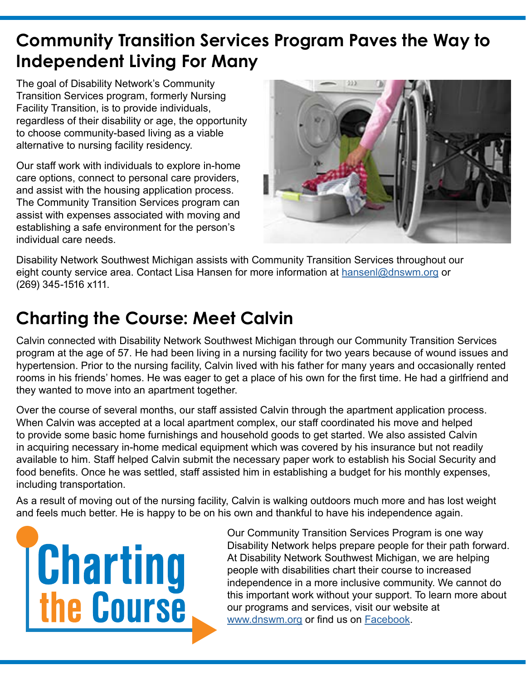#### **Community Transition Services Program Paves the Way to Independent Living For Many**

The goal of Disability Network's Community Transition Services program, formerly Nursing Facility Transition, is to provide individuals, regardless of their disability or age, the opportunity to choose community-based living as a viable alternative to nursing facility residency.

Our staff work with individuals to explore in-home care options, connect to personal care providers, and assist with the housing application process. The Community Transition Services program can assist with expenses associated with moving and establishing a safe environment for the person's individual care needs.



Disability Network Southwest Michigan assists with Community Transition Services throughout our eight county service area. Contact Lisa Hansen for more information at [hansenl@dnswm.](mailto:hansenl%40dnswm.org?subject=)org or (269) 345-1516 x111.

#### **Charting the Course: Meet Calvin**

Calvin connected with Disability Network Southwest Michigan through our Community Transition Services program at the age of 57. He had been living in a nursing facility for two years because of wound issues and hypertension. Prior to the nursing facility, Calvin lived with his father for many years and occasionally rented rooms in his friends' homes. He was eager to get a place of his own for the first time. He had a girlfriend and they wanted to move into an apartment together.

Over the course of several months, our staff assisted Calvin through the apartment application process. When Calvin was accepted at a local apartment complex, our staff coordinated his move and helped to provide some basic home furnishings and household goods to get started. We also assisted Calvin in acquiring necessary in-home medical equipment which was covered by his insurance but not readily available to him. Staff helped Calvin submit the necessary paper work to establish his Social Security and food benefits. Once he was settled, staff assisted him in establishing a budget for his monthly expenses, including transportation.

As a result of moving out of the nursing facility, Calvin is walking outdoors much more and has lost weight and feels much better. He is happy to be on his own and thankful to have his independence again.



Our Community Transition Services Program is one way Disability Network helps prepare people for their path forward. At Disability Network Southwest Michigan, we are helping people with disabilities chart their course to increased independence in a more inclusive community. We cannot do this important work without your support. To learn more about our programs and services, visit our website at [www.dnswm.org](http://www.dnswm.org/) or find us on [Facebook](https://www.facebook.com/DNSWM/?ref=bookmarks).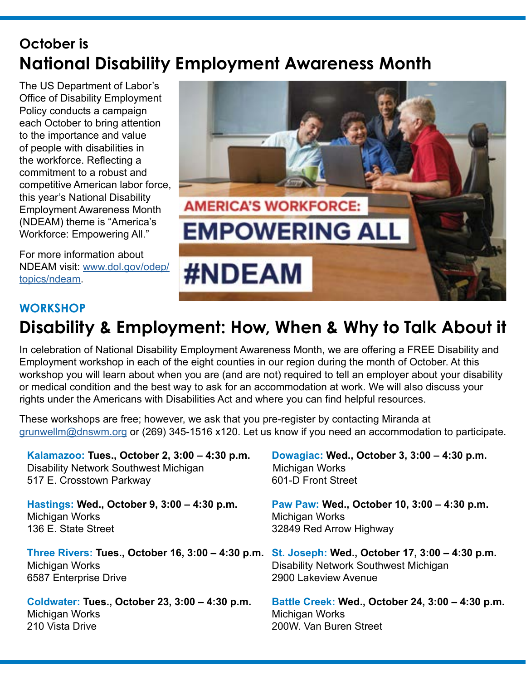#### **October is National Disability Employment Awareness Month**

The US Department of Labor's Office of Disability Employment Policy conducts a campaign each October to bring attention to the importance and value of people with disabilities in the workforce. Reflecting a commitment to a robust and competitive American labor force, this year's National Disability Employment Awareness Month (NDEAM) theme is "America's Workforce: Empowering All."

For more information about NDEAM visit: [www.dol.gov/odep/](https://www.dol.gov/odep/topics/ndeam/) [topics/ndeam.](https://www.dol.gov/odep/topics/ndeam/)



#### **WORKSHOP Disability & Employment: How, When & Why to Talk About it**

In celebration of National Disability Employment Awareness Month, we are offering a FREE Disability and Employment workshop in each of the eight counties in our region during the month of October. At this workshop you will learn about when you are (and are not) required to tell an employer about your disability or medical condition and the best way to ask for an accommodation at work. We will also discuss your rights under the Americans with Disabilities Act and where you can find helpful resources.

These workshops are free; however, we ask that you pre-register by contacting Miranda at [grunwellm@dnswm.org](mailto:grunwellm%40dnswm.org?subject=workshop) or (269) 345-1516 x120. Let us know if you need an accommodation to participate.

**Kalamazoo: Tues., October 2, 3:00 – 4:30 p.m. Dowagiac: Wed., October 3, 3:00 – 4:30 p.m.** Disability Network Southwest Michigan Michigan Works 517 E. Crosstown Parkway 601-D Front Street **Hastings: Wed., October 9, 3:00 – 4:30 p.m. Paw Paw: Wed., October 10, 3:00 – 4:30 p.m.** Michigan Works Michigan Works 136 E. State Street **136 E. State Street Three Rivers: Tues., October 16, 3:00 – 4:30 p.m. St. Joseph: Wed., October 17, 3:00 – 4:30 p.m.** Michigan Works Disability Network Southwest Michigan 6587 Enterprise Drive 2900 Lakeview Avenue **Coldwater: Tues., October 23, 3:00 – 4:30 p.m. Battle Creek: Wed., October 24, 3:00 – 4:30 p.m.** Michigan Works 210 Vista Drive 200W. Van Buren Street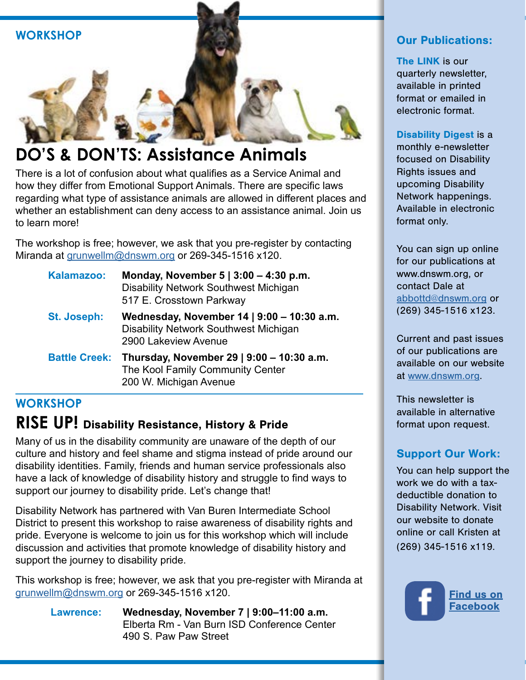

#### **DO'S & DON'TS: Assistance Animals**

There is a lot of confusion about what qualifies as a Service Animal and how they differ from Emotional Support Animals. There are specific laws regarding what type of assistance animals are allowed in different places and whether an establishment can deny access to an assistance animal. Join us to learn more!

The workshop is free; however, we ask that you pre-register by contacting Miranda at [grunwellm@dnswm.org](mailto:grunwellm%40dnswm.org?subject=) or 269-345-1516 x120.

| Kalamazoo:  | Monday, November $5   3:00 - 4:30 p.m.$<br><b>Disability Network Southwest Michigan</b><br>517 E. Crosstown Parkway   |
|-------------|-----------------------------------------------------------------------------------------------------------------------|
| St. Joseph: | Wednesday, November 14   9:00 - 10:30 a.m.<br><b>Disability Network Southwest Michigan</b><br>2900 Lakeview Avenue    |
|             | Battle Creek: Thursday, November 29   9:00 - 10:30 a.m.<br>The Kool Family Community Center<br>200 W. Michigan Avenue |

#### **WORKSHOP RISE UP!** Disability Resistance, History & Pride

Many of us in the disability community are unaware of the depth of our culture and history and feel shame and stigma instead of pride around our disability identities. Family, friends and human service professionals also have a lack of knowledge of disability history and struggle to find ways to support our journey to disability pride. Let's change that!

Disability Network has partnered with Van Buren Intermediate School District to present this workshop to raise awareness of disability rights and pride. Everyone is welcome to join us for this workshop which will include discussion and activities that promote knowledge of disability history and support the journey to disability pride.

This workshop is free; however, we ask that you pre-register with Miranda at [grunwellm@dnswm.org](mailto:grunwellm%40dnswm.org?subject=) or 269-345-1516 x120.

> **Lawrence: Wednesday, November 7 | 9:00–11:00 a.m.**  Elberta Rm - Van Burn ISD Conference Center 490 S. Paw Paw Street

#### Our Publications:

The LINK is our quarterly newsletter, available in printed format or emailed in electronic format.

Disability Digest is a monthly e-newsletter focused on Disability Rights issues and upcoming Disability Network happenings. Available in electronic format only.

You can sign up online for our publications at www.dnswm.org, or contact Dale at [abbottd@dnswm.org](mailto:abbottd%40dnswm.org?subject=) or (269) 345-1516 x123.

Current and past issues of our publications are available on our website at [www.dnswm.org.](http://www.dnswm.org/)

This newsletter is available in alternative format upon request.

#### Support Our Work:

You can help support the work we do with a taxdeductible donation to Disability Network. Visit our website to donate online or call Kristen at (269) 345-1516 x119.